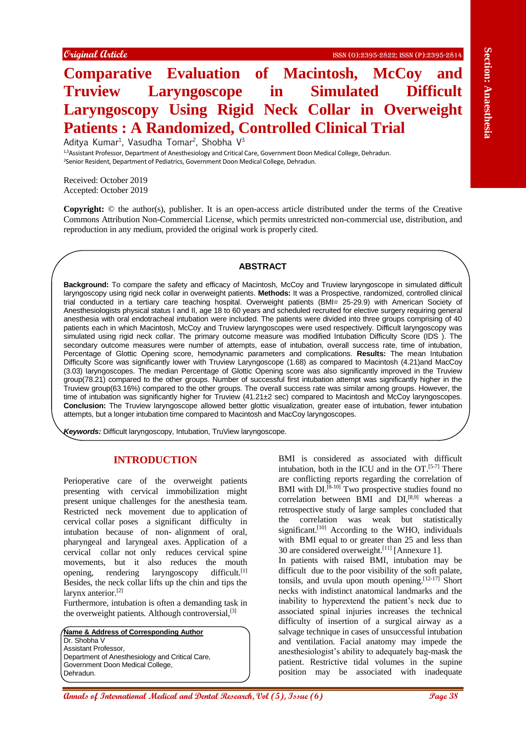# **Comparative Evaluation of Macintosh, McCoy and Truview Laryngoscope in Simulated Difficult Laryngoscopy Using Rigid Neck Collar in Overweight Patients : A Randomized, Controlled Clinical Trial**

Aditya Kumar<sup>1</sup>, Vasudha Tomar<sup>2</sup>, Shobha V<sup>3</sup> 1,3Assistant Professor, Department of Anesthesiology and Critical Care, Government Doon Medical College, Dehradun. <sup>2</sup>Senior Resident, Department of Pediatrics, Government Doon Medical College, Dehradun.

Received: October 2019 Accepted: October 2019

**Copyright:** © the author(s), publisher. It is an open-access article distributed under the terms of the Creative Commons Attribution Non-Commercial License, which permits unrestricted non-commercial use, distribution, and reproduction in any medium, provided the original work is properly cited.

#### **ABSTRACT**

**Compared Grain Compared Compared Compared Compared Compared Compared Compared Compared Compared Compared Compared Compared Compared Compared Compared Compared Compared Compared Compared Compared Compared Compared Compare Background:** To compare the safety and efficacy of Macintosh, McCoy and Truview laryngoscope in simulated difficult laryngoscopy using rigid neck collar in overweight patients. **Methods:** It was a Prospective, randomized, controlled clinical trial conducted in a tertiary care teaching hospital. Overweight patients (BMI= 25-29.9) with American Society of Anesthesiologists physical status I and II, age 18 to 60 years and scheduled recruited for elective surgery requiring general anesthesia with oral endotracheal intubation were included. The patients were divided into three groups comprising of 40 patients each in which Macintosh, McCoy and Truview laryngoscopes were used respectively. Difficult laryngoscopy was simulated using rigid neck collar. The primary outcome measure was modified Intubation Difficulty Score (IDS ). The secondary outcome measures were number of attempts, ease of intubation, overall success rate, time of intubation, Percentage of Glottic Opening score, hemodynamic parameters and complications. **Results:** The mean Intubation Difficulty Score was significantly lower with Truview Laryngoscope (1.68) as compared to Macintosh (4.21)and MacCoy (3.03) laryngoscopes. The median Percentage of Glottic Opening score was also significantly improved in the Truview group(78.21) compared to the other groups. Number of successful first intubation attempt was significantly higher in the Truview group(63.16%) compared to the other groups. The overall success rate was similar among groups. However, the time of intubation was significantly higher for Truview (41.21±2 sec) compared to Macintosh and McCoy laryngoscopes. **Conclusion:** The Truview laryngoscope allowed better glottic visualization, greater ease of intubation, fewer intubation attempts, but a longer intubation time compared to Macintosh and MacCoy laryngoscopes.

*Keywords:* Difficult laryngoscopy, Intubation, TruView laryngoscope.

#### **INTRODUCTION**

Perioperative care of the overweight patients presenting with cervical immobilization might present unique challenges for the anesthesia team. Restricted neck movement due to application of cervical collar poses a significant difficulty in intubation because of non- alignment of oral, pharyngeal and laryngeal axes. Application of a cervical collar not only reduces cervical spine movements, but it also reduces the mouth opening, rendering laryngoscopy difficult.[1] Besides, the neck collar lifts up the chin and tips the larynx anterior.<sup>[2]</sup>

Furthermore, intubation is often a demanding task in the overweight patients. Although controversial,<sup>[3]</sup>

**Name & Address of Corresponding Author** Dr. Shobha V Assistant Professor, Department of Anesthesiology and Critical Care, Government Doon Medical College, Dehradun.

BMI is considered as associated with difficult intubation, both in the ICU and in the OT. [5-7] There are conflicting reports regarding the correlation of BMI with  $DI^{[8-10]}$  Two prospective studies found no correlation between BMI and  $DI^{[8,9]}$  whereas a retrospective study of large samples concluded that the correlation was weak but statistically significant. $[10]$  According to the WHO, individuals with BMI equal to or greater than 25 and less than 30 are considered overweight.<sup>[11]</sup> [Annexure 1]. In patients with raised BMI, intubation may be difficult due to the poor visibility of the soft palate, tonsils, and uvula upon mouth opening.  $[12-17]$  Short necks with indistinct anatomical landmarks and the inability to hyperextend the patient's neck due to associated spinal injuries increases the technical difficulty of insertion of a surgical airway as a salvage technique in cases of unsuccessful intubation and ventilation. Facial anatomy may impede the anesthesiologist's ability to adequately bag-mask the patient. Restrictive tidal volumes in the supine position may be associated with inadequate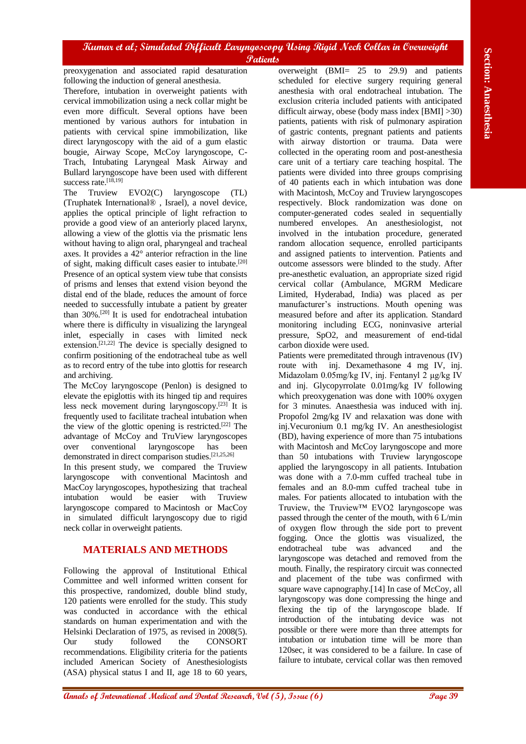preoxygenation and associated rapid desaturation following the induction of general anesthesia.

Therefore, intubation in overweight patients with cervical immobilization using a neck collar might be even more difficult. Several options have been mentioned by various authors for intubation in patients with cervical spine immobilization, like direct laryngoscopy with the aid of a gum elastic bougie, Airway Scope, McCoy laryngoscope, C-Trach, Intubating Laryngeal Mask Airway and Bullard laryngoscope have been used with different success rate.<sup>[18,19]</sup>

The Truview EVO2(C) laryngoscope (TL) (Truphatek International® , Israel), a novel device, applies the optical principle of light refraction to provide a good view of an anteriorly placed larynx, allowing a view of the glottis via the prismatic lens without having to align oral, pharyngeal and tracheal axes. It provides a 42° anterior refraction in the line of sight, making difficult cases easier to intubate.[20] Presence of an optical system view tube that consists of prisms and lenses that extend vision beyond the distal end of the blade, reduces the amount of force needed to successfully intubate a patient by greater than 30%.[20] It is used for endotracheal intubation where there is difficulty in visualizing the laryngeal inlet, especially in cases with limited neck extension.<sup>[21,22]</sup> The device is specially designed to confirm positioning of the endotracheal tube as well as to record entry of the tube into glottis for research and archiving.

The McCoy laryngoscope (Penlon) is designed to elevate the epiglottis with its hinged tip and requires less neck movement during laryngoscopy.[23] It is frequently used to facilitate tracheal intubation when the view of the glottic opening is restricted.<sup>[22]</sup> The advantage of McCoy and TruView laryngoscopes over conventional laryngoscope has been demonstrated in direct comparison studies.[21,25,26] In this present study, we compared the Truview laryngoscope with conventional Macintosh and MacCoy laryngoscopes, hypothesizing that tracheal intubation would be easier with Truview laryngoscope compared to Macintosh or MacCoy in simulated difficult laryngoscopy due to rigid neck collar in overweight patients.

## **MATERIALS AND METHODS**

Following the approval of Institutional Ethical Committee and well informed written consent for this prospective, randomized, double blind study, 120 patients were enrolled for the study. This study was conducted in accordance with the ethical standards on human experimentation and with the Helsinki Declaration of 1975, as revised in 2008(5). Our study followed the CONSORT recommendations. Eligibility criteria for the patients included American Society of Anesthesiologists (ASA) physical status I and II, age 18 to 60 years,

overweight (BMI= 25 to 29.9) and patients scheduled for elective surgery requiring general anesthesia with oral endotracheal intubation. The exclusion criteria included patients with anticipated difficult airway, obese (body mass index [BMI] >30) patients, patients with risk of pulmonary aspiration of gastric contents, pregnant patients and patients with airway distortion or trauma. Data were collected in the operating room and post-anesthesia care unit of a tertiary care teaching hospital. The patients were divided into three groups comprising of 40 patients each in which intubation was done with Macintosh, McCoy and Truview laryngoscopes respectively. Block randomization was done on computer-generated codes sealed in sequentially numbered envelopes. An anesthesiologist, not involved in the intubation procedure, generated random allocation sequence, enrolled participants and assigned patients to intervention. Patients and outcome assessors were blinded to the study. After pre-anesthetic evaluation, an appropriate sized rigid cervical collar (Ambulance, MGRM Medicare Limited, Hyderabad, India) was placed as per manufacturer's instructions. Mouth opening was measured before and after its application. Standard monitoring including ECG, noninvasive arterial pressure, SpO2, and measurement of end-tidal carbon dioxide were used.

**EXERCT: An and EXERCT: An another solution and EXERCT: A** and EXERCT: **A** and EXERCT CONSULTS (Section and EXERCT CONSULTS (Section and EXERCT CONSULTS (Section and EXERCT CONSULTS) and EXERCT CONSULTS (Section and Patients were premeditated through intravenous (IV) route with inj. Dexamethasone 4 mg IV, inj. Midazolam 0.05mg/kg IV, inj. Fentanyl 2 μg/kg IV and inj. Glycopyrrolate 0.01mg/kg IV following which preoxygenation was done with 100% oxygen for 3 minutes. Anaesthesia was induced with inj. Propofol 2mg/kg IV and relaxation was done with inj.Vecuronium 0.1 mg/kg IV. An anesthesiologist (BD), having experience of more than 75 intubations with Macintosh and McCoy laryngoscope and more than 50 intubations with Truview laryngoscope applied the laryngoscopy in all patients. Intubation was done with a 7.0-mm cuffed tracheal tube in females and an 8.0-mm cuffed tracheal tube in males. For patients allocated to intubation with the Truview, the Truview™ EVO2 laryngoscope was passed through the center of the mouth, with 6 L/min of oxygen flow through the side port to prevent fogging. Once the glottis was visualized, the endotracheal tube was advanced and the laryngoscope was detached and removed from the mouth. Finally, the respiratory circuit was connected and placement of the tube was confirmed with square wave capnography.<sup>[14]</sup> In case of McCoy, all laryngoscopy was done compressing the hinge and flexing the tip of the laryngoscope blade. If introduction of the intubating device was not possible or there were more than three attempts for intubation or intubation time will be more than 120sec, it was considered to be a failure. In case of failure to intubate, cervical collar was then removed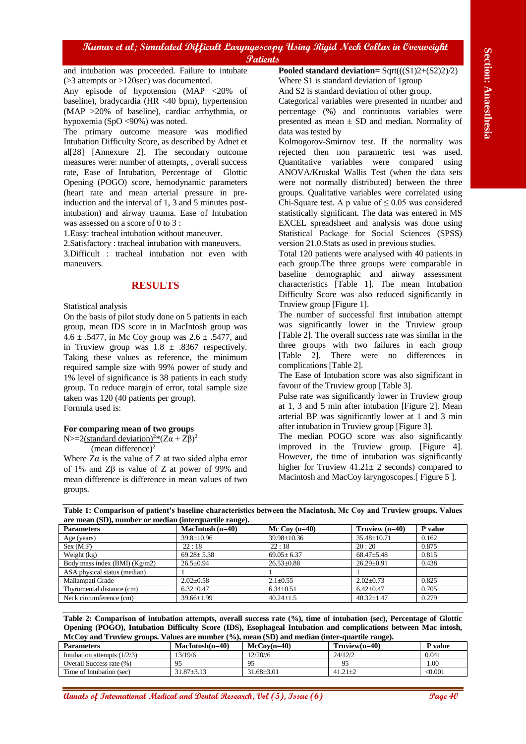#### **RESULTS**

#### **For comparing mean of two groups**

|                                                                                                                                                                                                                                                                                                                                                                                                                                                                                                                                                                                                                                      |                        | <b><i>Patients</i></b>                       |                                                    |                                                          |                   |
|--------------------------------------------------------------------------------------------------------------------------------------------------------------------------------------------------------------------------------------------------------------------------------------------------------------------------------------------------------------------------------------------------------------------------------------------------------------------------------------------------------------------------------------------------------------------------------------------------------------------------------------|------------------------|----------------------------------------------|----------------------------------------------------|----------------------------------------------------------|-------------------|
| and intubation was proceeded. Failure to intubate                                                                                                                                                                                                                                                                                                                                                                                                                                                                                                                                                                                    |                        |                                              |                                                    | Pooled standard deviation= $Sqrt(((S1)2+(S2)2)/2)$       |                   |
| $($ >3 attempts or >120sec) was documented.                                                                                                                                                                                                                                                                                                                                                                                                                                                                                                                                                                                          |                        |                                              | Where S1 is standard deviation of 1 group          |                                                          |                   |
| Any episode of hypotension (MAP <20% of                                                                                                                                                                                                                                                                                                                                                                                                                                                                                                                                                                                              |                        | And S2 is standard deviation of other group. |                                                    |                                                          |                   |
| baseline), bradycardia (HR <40 bpm), hypertension                                                                                                                                                                                                                                                                                                                                                                                                                                                                                                                                                                                    |                        |                                              | Categorical variables were presented in number and |                                                          |                   |
| (MAP >20% of baseline), cardiac arrhythmia, or                                                                                                                                                                                                                                                                                                                                                                                                                                                                                                                                                                                       |                        |                                              |                                                    | percentage (%) and continuous variables were             |                   |
| hypoxemia (SpO <90%) was noted.                                                                                                                                                                                                                                                                                                                                                                                                                                                                                                                                                                                                      |                        |                                              |                                                    | presented as mean $\pm$ SD and median. Normality of      |                   |
| The primary outcome measure was modified                                                                                                                                                                                                                                                                                                                                                                                                                                                                                                                                                                                             |                        |                                              | data was tested by                                 |                                                          |                   |
| Intubation Difficulty Score, as described by Adnet et                                                                                                                                                                                                                                                                                                                                                                                                                                                                                                                                                                                |                        |                                              |                                                    | Kolmogorov-Smirnov test. If the normality was            |                   |
| al[28] [Annexure 2]. The secondary outcome                                                                                                                                                                                                                                                                                                                                                                                                                                                                                                                                                                                           |                        |                                              |                                                    | rejected then non parametric test was used.              |                   |
| measures were: number of attempts, , overall success                                                                                                                                                                                                                                                                                                                                                                                                                                                                                                                                                                                 |                        |                                              |                                                    | Quantitative variables were compared                     | using             |
| rate, Ease of Intubation, Percentage of Glottic                                                                                                                                                                                                                                                                                                                                                                                                                                                                                                                                                                                      |                        |                                              |                                                    | ANOVA/Kruskal Wallis Test (when the data sets            |                   |
| Opening (POGO) score, hemodynamic parameters                                                                                                                                                                                                                                                                                                                                                                                                                                                                                                                                                                                         |                        |                                              |                                                    | were not normally distributed) between the three         |                   |
| (heart rate and mean arterial pressure in pre-                                                                                                                                                                                                                                                                                                                                                                                                                                                                                                                                                                                       |                        |                                              |                                                    | groups. Qualitative variables were correlated using      |                   |
| induction and the interval of 1, 3 and 5 minutes post-                                                                                                                                                                                                                                                                                                                                                                                                                                                                                                                                                                               |                        |                                              |                                                    | Chi-Square test. A p value of $\leq 0.05$ was considered |                   |
| intubation) and airway trauma. Ease of Intubation                                                                                                                                                                                                                                                                                                                                                                                                                                                                                                                                                                                    |                        |                                              |                                                    | statistically significant. The data was entered in MS    |                   |
| was assessed on a score of 0 to 3 :                                                                                                                                                                                                                                                                                                                                                                                                                                                                                                                                                                                                  |                        |                                              |                                                    | EXCEL spreadsheet and analysis was done using            |                   |
| 1. Easy: tracheal intubation without maneuver.                                                                                                                                                                                                                                                                                                                                                                                                                                                                                                                                                                                       |                        |                                              |                                                    | Statistical Package for Social Sciences (SPSS)           |                   |
| 2. Satisfactory: tracheal intubation with maneuvers.                                                                                                                                                                                                                                                                                                                                                                                                                                                                                                                                                                                 |                        |                                              |                                                    | version 21.0. Stats as used in previous studies.         |                   |
| 3.Difficult : tracheal intubation not even with                                                                                                                                                                                                                                                                                                                                                                                                                                                                                                                                                                                      |                        |                                              |                                                    | Total 120 patients were analysed with 40 patients in     |                   |
| maneuvers.                                                                                                                                                                                                                                                                                                                                                                                                                                                                                                                                                                                                                           |                        |                                              |                                                    | each group. The three groups were comparable in          |                   |
|                                                                                                                                                                                                                                                                                                                                                                                                                                                                                                                                                                                                                                      |                        |                                              |                                                    | baseline demographic and airway assessment               |                   |
|                                                                                                                                                                                                                                                                                                                                                                                                                                                                                                                                                                                                                                      |                        |                                              |                                                    | characteristics [Table 1]. The mean Intubation           |                   |
| <b>RESULTS</b>                                                                                                                                                                                                                                                                                                                                                                                                                                                                                                                                                                                                                       |                        |                                              |                                                    | Difficulty Score was also reduced significantly in       |                   |
|                                                                                                                                                                                                                                                                                                                                                                                                                                                                                                                                                                                                                                      |                        |                                              |                                                    |                                                          |                   |
| Statistical analysis                                                                                                                                                                                                                                                                                                                                                                                                                                                                                                                                                                                                                 |                        |                                              |                                                    | Truview group [Figure 1].                                |                   |
| On the basis of pilot study done on 5 patients in each                                                                                                                                                                                                                                                                                                                                                                                                                                                                                                                                                                               |                        |                                              | The number of successful first intubation attempt  |                                                          |                   |
| group, mean IDS score in in MacIntosh group was                                                                                                                                                                                                                                                                                                                                                                                                                                                                                                                                                                                      |                        |                                              | was significantly lower in the Truview group       |                                                          |                   |
| 4.6 ± .5477, in Mc Coy group was $2.6 \pm .5477$ , and                                                                                                                                                                                                                                                                                                                                                                                                                                                                                                                                                                               |                        |                                              |                                                    | [Table 2]. The overall success rate was similar in the   |                   |
| in Truview group was $1.8 \pm .8367$ respectively.                                                                                                                                                                                                                                                                                                                                                                                                                                                                                                                                                                                   |                        |                                              |                                                    | three groups with two failures in each group             |                   |
| Taking these values as reference, the minimum                                                                                                                                                                                                                                                                                                                                                                                                                                                                                                                                                                                        |                        |                                              | $[Table 2]$ .                                      | There were<br>no                                         | differences<br>in |
| required sample size with 99% power of study and                                                                                                                                                                                                                                                                                                                                                                                                                                                                                                                                                                                     |                        |                                              | complications [Table 2].                           |                                                          |                   |
| 1% level of significance is 38 patients in each study                                                                                                                                                                                                                                                                                                                                                                                                                                                                                                                                                                                |                        |                                              |                                                    | The Ease of Intubation score was also significant in     |                   |
| group. To reduce margin of error, total sample size                                                                                                                                                                                                                                                                                                                                                                                                                                                                                                                                                                                  |                        |                                              |                                                    | favour of the Truview group [Table 3].                   |                   |
| taken was 120 (40 patients per group).                                                                                                                                                                                                                                                                                                                                                                                                                                                                                                                                                                                               |                        |                                              |                                                    | Pulse rate was significantly lower in Truview group      |                   |
| Formula used is:                                                                                                                                                                                                                                                                                                                                                                                                                                                                                                                                                                                                                     |                        |                                              |                                                    | at 1, 3 and 5 min after intubation [Figure 2]. Mean      |                   |
|                                                                                                                                                                                                                                                                                                                                                                                                                                                                                                                                                                                                                                      |                        |                                              |                                                    | arterial BP was significantly lower at 1 and 3 min       |                   |
| For comparing mean of two groups                                                                                                                                                                                                                                                                                                                                                                                                                                                                                                                                                                                                     |                        |                                              |                                                    | after intubation in Truview group [Figure 3].            |                   |
| N>=2(standard deviation) <sup>2*</sup> (Z $\alpha$ + Z $\beta$ ) <sup>2</sup>                                                                                                                                                                                                                                                                                                                                                                                                                                                                                                                                                        |                        |                                              |                                                    | The median POGO score was also significantly             |                   |
| (mean difference) <sup>2</sup>                                                                                                                                                                                                                                                                                                                                                                                                                                                                                                                                                                                                       |                        |                                              |                                                    | improved in the Truview group. [Figure 4].               |                   |
| Where $Z\alpha$ is the value of Z at two sided alpha error                                                                                                                                                                                                                                                                                                                                                                                                                                                                                                                                                                           |                        |                                              |                                                    | However, the time of intubation was significantly        |                   |
| of 1% and $Z\beta$ is value of Z at power of 99% and                                                                                                                                                                                                                                                                                                                                                                                                                                                                                                                                                                                 |                        |                                              |                                                    | higher for Truview $41.21 \pm 2$ seconds) compared to    |                   |
| mean difference is difference in mean values of two                                                                                                                                                                                                                                                                                                                                                                                                                                                                                                                                                                                  |                        |                                              |                                                    | Macintosh and MacCoy laryngoscopes.[Figure 5].           |                   |
| groups.                                                                                                                                                                                                                                                                                                                                                                                                                                                                                                                                                                                                                              |                        |                                              |                                                    |                                                          |                   |
|                                                                                                                                                                                                                                                                                                                                                                                                                                                                                                                                                                                                                                      |                        |                                              |                                                    |                                                          |                   |
|                                                                                                                                                                                                                                                                                                                                                                                                                                                                                                                                                                                                                                      |                        |                                              |                                                    |                                                          |                   |
|                                                                                                                                                                                                                                                                                                                                                                                                                                                                                                                                                                                                                                      |                        |                                              |                                                    |                                                          |                   |
|                                                                                                                                                                                                                                                                                                                                                                                                                                                                                                                                                                                                                                      | MacIntosh (n=40)       |                                              | Mc Coy $(n=40)$<br>39.98±10.36                     | Truview (n=40)                                           | P value           |
|                                                                                                                                                                                                                                                                                                                                                                                                                                                                                                                                                                                                                                      | 39.8±10.96<br>22:18    |                                              | 22:18                                              | 35.48±10.71<br>20:20                                     | 0.162<br>0.875    |
|                                                                                                                                                                                                                                                                                                                                                                                                                                                                                                                                                                                                                                      | $69.28 \pm 5.38$       |                                              | $69.05 \pm 6.37$                                   | 68.47±5.48                                               | 0.815             |
|                                                                                                                                                                                                                                                                                                                                                                                                                                                                                                                                                                                                                                      | $26.5 \pm 0.94$        |                                              | $26.53 \pm 0.88$                                   | $26.29 \pm 0.91$                                         | 0.438             |
|                                                                                                                                                                                                                                                                                                                                                                                                                                                                                                                                                                                                                                      |                        |                                              |                                                    |                                                          |                   |
|                                                                                                                                                                                                                                                                                                                                                                                                                                                                                                                                                                                                                                      | $2.02 \pm 0.58$        |                                              | $2.1 \pm 0.55$                                     | $2.02 \pm 0.73$                                          | 0.825             |
|                                                                                                                                                                                                                                                                                                                                                                                                                                                                                                                                                                                                                                      | $6.32 \pm 0.47$        |                                              | $6.34 \pm 0.51$                                    | $6.42 \pm 0.47$                                          | 0.705             |
|                                                                                                                                                                                                                                                                                                                                                                                                                                                                                                                                                                                                                                      | 39.66±1.99             |                                              | $40.24 \pm 1.5$                                    | $40.32{\pm}1.47$                                         | 0.279             |
| Table 1: Comparison of patient's baseline characteristics between the Macintosh, Mc Coy and Truview groups. Values<br>are mean (SD), number or median (interquartile range).<br><b>Parameters</b><br>Age (years)<br>Sex (M:F)<br>Weight (kg)<br>Body mass index (BMI) (Kg/m2)<br>ASA physical status (median)<br>Mallampati Grade<br>Thyromental distance (cm)<br>Neck circumference (cm)<br>Table 2: Comparison of intubation attempts, overall success rate (%), time of intubation (sec), Percentage of Glottic<br>Opening (POGO), Intubation Difficulty Score (IDS), Esophageal Intubation and complications between Mac intosh, |                        |                                              |                                                    |                                                          |                   |
|                                                                                                                                                                                                                                                                                                                                                                                                                                                                                                                                                                                                                                      |                        |                                              |                                                    |                                                          |                   |
|                                                                                                                                                                                                                                                                                                                                                                                                                                                                                                                                                                                                                                      | $MacIntosh(n=40)$      |                                              | $McCoy(n=40)$                                      | $Truview(n=40)$                                          | P value           |
| McCoy and Truview groups. Values are number (%), mean (SD) and median (inter-quartile range).<br><b>Parameters</b><br>Intubation attempts $(1/2/3)$                                                                                                                                                                                                                                                                                                                                                                                                                                                                                  | 13/19/6                | 12/20//6                                     |                                                    | 24/12/2                                                  | 0.041             |
| Overall Success rate (%)<br>Time of Intubation (sec)                                                                                                                                                                                                                                                                                                                                                                                                                                                                                                                                                                                 | 95<br>$31.87 \pm 3.13$ | 95<br>$31.68 \pm 3.01$                       |                                                    | 95<br>$41.21 \pm 2$                                      | 1.00<br>< 0.001   |

| <b>Parameters</b>             | $MacIntosh(n=40)$ | $McCov(n=40)$    | $\cdot$ $\cdot$<br>$Truview(n=40)$ | <b>P</b> value |
|-------------------------------|-------------------|------------------|------------------------------------|----------------|
| Intubation attempts $(1/2/3)$ | 3/19/6            | 12/20/6          | 24/12/2                            | 0.041          |
| Overall Success rate (%)      |                   | Q <sub>5</sub>   |                                    | $1.00\,$       |
| Time of Intubation (sec)      | $31.87 + 3.13$    | $31.68 \pm 3.01$ | $41.21 + 2$                        | $<\!\!0.001$   |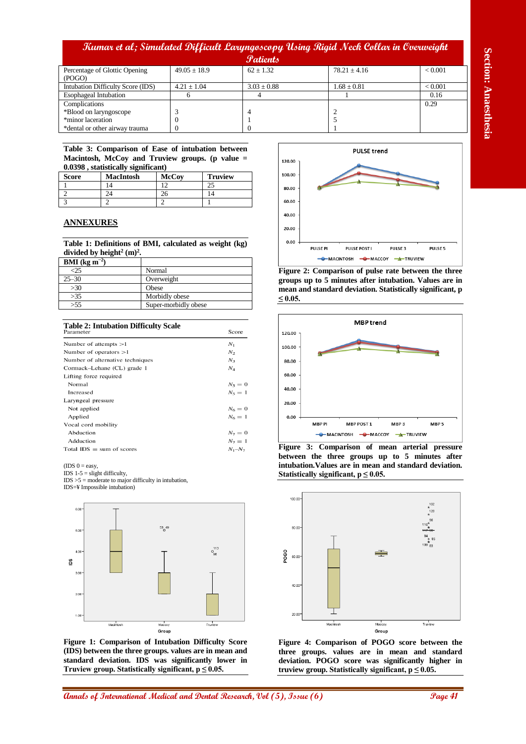|                                         |                  | <b>Patients</b> |                 |                |
|-----------------------------------------|------------------|-----------------|-----------------|----------------|
| Percentage of Glottic Opening<br>(POGO) | $49.05 \pm 18.9$ | $62 + 1.32$     | $78.21 + 4.16$  | ${}_{< 0.001}$ |
|                                         |                  |                 |                 |                |
| Intubation Difficulty Score (IDS)       | $4.21 \pm 1.04$  | $3.03 \pm 0.88$ | $1.68 \pm 0.81$ | < 0.001        |
| <b>Esophageal Intubation</b>            |                  |                 |                 | 0.16           |
| Complications                           |                  |                 |                 | 0.29           |
| *Blood on laryngoscope                  |                  |                 |                 |                |
| *minor laceration                       |                  |                 |                 |                |
| *dental or other airway trauma          |                  |                 |                 |                |

**Table 3: Comparison of Ease of intubation between Macintosh, McCoy and Truview groups. (p value = 0.0398 , statistically significant)**

| <b>Score</b> | <b>MacIntosh</b> | <b>McCov</b> | <b>Truview</b> |
|--------------|------------------|--------------|----------------|
|              |                  |              |                |
|              |                  |              |                |
|              |                  |              |                |

#### **ANNEXURES**

**Table 1: Definitions of BMI, calculated as weight (kg)**  divided by height<sup>2</sup>  $(m)^2$ .

| $BMI$ (kg m <sup>-2</sup> ) |                      |
|-----------------------------|----------------------|
| 25                          | Normal               |
| $25 - 30$                   | Overweight           |
| >30                         | Obese                |
| >35                         | Morbidly obese       |
| > 55                        | Super-morbidly obese |

| <b>Table 2: Intubation Difficulty Scale</b><br>Parameter | Score           |
|----------------------------------------------------------|-----------------|
| Number of attempts $>1$                                  | $N_{1}$         |
| Number of operators $>1$                                 | $N_2$           |
| Number of alternative techniques                         | $N_{3}$         |
| Cormack-Lehane (CL) grade 1                              | $N_{\rm 4}$     |
| Lifting force required                                   |                 |
| Normal                                                   | $N_5 = 0$       |
| Increased                                                | $N_5 = 1$       |
| Laryngeal pressure                                       |                 |
| Not applied                                              | $N_6 = 0$       |
| Applied                                                  | $N_6=1$         |
| Vocal cord mobility                                      |                 |
| Abduction                                                | $N_7 = 0$       |
| Adduction                                                | $N_7 = 1$       |
| Total $IDS = sum$ of scores                              | $N_{1} - N_{7}$ |

 $(IDS 0 = easy,$ 

IDS  $1-5$  = slight difficulty,

 $IDS > 5$  = moderate to major difficulty in intubation,

IDS=¥ Impossible intubation)



**Figure 1: Comparison of Intubation Difficulty Score (IDS) between the three groups. values are in mean and standard deviation. IDS was significantly lower in Truview group. Statistically significant, p ≤ 0.05.**



**Figure 2: Comparison of pulse rate between the three groups up to 5 minutes after intubation. Values are in mean and standard deviation. Statistically significant, p ≤ 0.05.**



**Figure 3: Comparison of mean arterial pressure between the three groups up to 5 minutes after intubation.Values are in mean and standard deviation. Statistically significant, p ≤ 0.05.**



**Figure 4: Comparison of POGO score between the three groups. values are in mean and standard deviation. POGO score was significantly higher in**  truview group. Statistically significant,  $p \leq 0.05$ .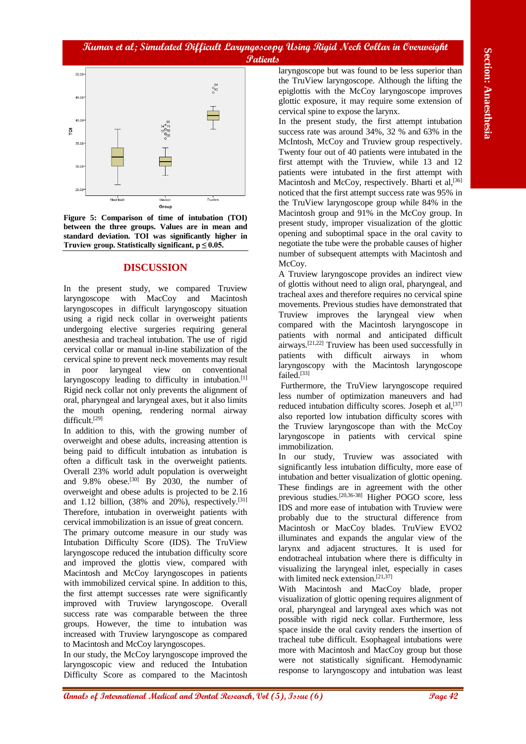

**Figure 5: Comparison of time of intubation (TOI) between the three groups. Values are in mean and standard deviation. TOI was significantly higher in Truview group. Statistically significant, p ≤ 0.05.**

## **DISCUSSION**

In the present study, we compared Truview laryngoscope with MacCoy and Macintosh laryngoscopes in difficult laryngoscopy situation using a rigid neck collar in overweight patients undergoing elective surgeries requiring general anesthesia and tracheal intubation. The use of rigid cervical collar or manual in-line stabilization of the cervical spine to prevent neck movements may result in poor laryngeal view on conventional laryngoscopy leading to difficulty in intubation.<sup>[1]</sup> Rigid neck collar not only prevents the alignment of oral, pharyngeal and laryngeal axes, but it also limits the mouth opening, rendering normal airway difficult.<sup>[29]</sup>

In addition to this, with the growing number of overweight and obese adults, increasing attention is being paid to difficult intubation as intubation is often a difficult task in the overweight patients. Overall 23% world adult population is overweight and  $9.8\%$  obese.<sup>[30]</sup> By 2030, the number of overweight and obese adults is projected to be 2.16 and 1.12 billion,  $(38\%$  and  $20\%)$ , respectively.<sup>[31]</sup> Therefore, intubation in overweight patients with cervical immobilization is an issue of great concern.

The primary outcome measure in our study was Intubation Difficulty Score (IDS). The TruView laryngoscope reduced the intubation difficulty score and improved the glottis view, compared with Macintosh and McCoy laryngoscopes in patients with immobilized cervical spine. In addition to this, the first attempt successes rate were significantly improved with Truview laryngoscope. Overall success rate was comparable between the three groups. However, the time to intubation was increased with Truview laryngoscope as compared to Macintosh and McCoy laryngoscopes.

In our study, the McCoy laryngoscope improved the laryngoscopic view and reduced the Intubation Difficulty Score as compared to the Macintosh

laryngoscope but was found to be less superior than the TruView laryngoscope. Although the lifting the epiglottis with the McCoy laryngoscope improves glottic exposure, it may require some extension of cervical spine to expose the larynx.

**And**  $\frac{1}{2}$  **And**  $\frac{1}{2}$  **An absorption**  $\frac{1}{2}$  **An absorption**  $\frac{1}{2}$  **Back control and Dental Research Alexandro Benedical And Dental Research Alexandro Benedical And Dental Research Alexandro Benedical And** In the present study, the first attempt intubation success rate was around 34%, 32 % and 63% in the McIntosh, McCoy and Truview group respectively. Twenty four out of 40 patients were intubated in the first attempt with the Truview, while 13 and 12 patients were intubated in the first attempt with Macintosh and McCoy, respectively. Bharti et al,<sup>[36]</sup> noticed that the first attempt success rate was 95% in the TruView laryngoscope group while 84% in the Macintosh group and 91% in the McCoy group. In present study, improper visualization of the glottic opening and suboptimal space in the oral cavity to negotiate the tube were the probable causes of higher number of subsequent attempts with Macintosh and McCov.

A Truview laryngoscope provides an indirect view of glottis without need to align oral, pharyngeal, and tracheal axes and therefore requires no cervical spine movements. Previous studies have demonstrated that Truview improves the laryngeal view when compared with the Macintosh laryngoscope in patients with normal and anticipated difficult airways.[21,22] Truview has been used successfully in patients with difficult airways in whom laryngoscopy with the Macintosh laryngoscope failed.<sup>[33]</sup>

Furthermore, the TruView laryngoscope required less number of optimization maneuvers and had reduced intubation difficulty scores. Joseph et al, $[37]$ also reported low intubation difficulty scores with the Truview laryngoscope than with the McCoy laryngoscope in patients with cervical spine immobilization.

In our study, Truview was associated with significantly less intubation difficulty, more ease of intubation and better visualization of glottic opening. These findings are in agreement with the other previous studies.[20,36-38] Higher POGO score, less IDS and more ease of intubation with Truview were probably due to the structural difference from Macintosh or MacCoy blades. TruView EVO2 illuminates and expands the angular view of the larynx and adjacent structures. It is used for endotracheal intubation where there is difficulty in visualizing the laryngeal inlet, especially in cases with limited neck extension.<sup>[21,37]</sup>

With Macintosh and MacCoy blade, proper visualization of glottic opening requires alignment of oral, pharyngeal and laryngeal axes which was not possible with rigid neck collar. Furthermore, less space inside the oral cavity renders the insertion of tracheal tube difficult. Esophageal intubations were more with Macintosh and MacCoy group but those were not statistically significant. Hemodynamic response to laryngoscopy and intubation was least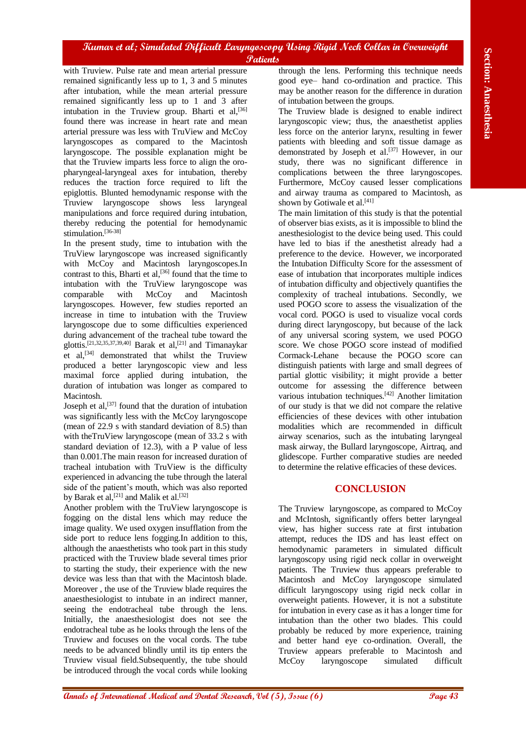with Truview. Pulse rate and mean arterial pressure remained significantly less up to 1, 3 and 5 minutes after intubation, while the mean arterial pressure remained significantly less up to 1 and 3 after intubation in the Truview group. Bharti et al,<sup>[36]</sup> found there was increase in heart rate and mean arterial pressure was less with TruView and McCoy laryngoscopes as compared to the Macintosh laryngoscope. The possible explanation might be that the Truview imparts less force to align the oropharyngeal-laryngeal axes for intubation, thereby reduces the traction force required to lift the epiglottis. Blunted hemodynamic response with the Truview laryngoscope shows less laryngeal manipulations and force required during intubation, thereby reducing the potential for hemodynamic stimulation.<sup>[36-38]</sup>

In the present study, time to intubation with the TruView laryngoscope was increased significantly with McCoy and Macintosh laryngoscopes.In contrast to this, Bharti et al,  $[36]$  found that the time to intubation with the TruView laryngoscope was comparable with McCoy and Macintosh laryngoscopes. However, few studies reported an increase in time to intubation with the Truview laryngoscope due to some difficulties experienced during advancement of the tracheal tube toward the glottis.[21,32,35,37,39,40] Barak et al,[21] and Timanaykar et al,[34] demonstrated that whilst the Truview produced a better laryngoscopic view and less maximal force applied during intubation, the duration of intubation was longer as compared to Macintosh.

Joseph et al,<sup>[37]</sup> found that the duration of intubation was significantly less with the McCoy laryngoscope (mean of 22.9 s with standard deviation of 8.5) than with theTruView laryngoscope (mean of 33.2 s with standard deviation of 12.3), with a P value of less than 0.001.The main reason for increased duration of tracheal intubation with TruView is the difficulty experienced in advancing the tube through the lateral side of the patient's mouth, which was also reported by Barak et al,<sup>[21]</sup> and Malik et al.<sup>[32]</sup>

Another problem with the TruView laryngoscope is fogging on the distal lens which may reduce the image quality. We used oxygen insufflation from the side port to reduce lens fogging.In addition to this, although the anaesthetists who took part in this study practiced with the Truview blade several times prior to starting the study, their experience with the new device was less than that with the Macintosh blade. Moreover , the use of the Truview blade requires the anaesthesiologist to intubate in an indirect manner, seeing the endotracheal tube through the lens. Initially, the anaesthesiologist does not see the endotracheal tube as he looks through the lens of the Truview and focuses on the vocal cords. The tube needs to be advanced blindly until its tip enters the Truview visual field.Subsequently, the tube should be introduced through the vocal cords while looking

through the lens. Performing this technique needs good eye– hand co-ordination and practice. This may be another reason for the difference in duration of intubation between the groups.

The Truview blade is designed to enable indirect laryngoscopic view; thus, the anaesthetist applies less force on the anterior larynx, resulting in fewer patients with bleeding and soft tissue damage as demonstrated by Joseph et al.[37] However, in our study, there was no significant difference in complications between the three laryngoscopes. Furthermore, McCoy caused lesser complications and airway trauma as compared to Macintosh, as shown by Gotiwale et al.<sup>[41]</sup>

**Annals of International Medical and The Theorem Science is the section of International Medical and Dental Anaesthesia<br>
<b>Analysis of International Medical analysis of International Medical analysis of International Medic** The main limitation of this study is that the potential of observer bias exists, as it is impossible to blind the anesthesiologist to the device being used. This could have led to bias if the anesthetist already had a preference to the device. However, we incorporated the Intubation Difficulty Score for the assessment of ease of intubation that incorporates multiple indices of intubation difficulty and objectively quantifies the complexity of tracheal intubations. Secondly, we used POGO score to assess the visualization of the vocal cord. POGO is used to visualize vocal cords during direct laryngoscopy, but because of the lack of any universal scoring system, we used POGO score. We chose POGO score instead of modified Cormack-Lehane because the POGO score can distinguish patients with large and small degrees of partial glottic visibility; it might provide a better outcome for assessing the difference between various intubation techniques.[42] Another limitation of our study is that we did not compare the relative efficiencies of these devices with other intubation modalities which are recommended in difficult airway scenarios, such as the intubating laryngeal mask airway, the Bullard laryngoscope, Airtraq, and glidescope. Further comparative studies are needed to determine the relative efficacies of these devices.

## **CONCLUSION**

The Truview laryngoscope, as compared to McCoy and McIntosh, significantly offers better laryngeal view, has higher success rate at first intubation attempt, reduces the IDS and has least effect on hemodynamic parameters in simulated difficult laryngoscopy using rigid neck collar in overweight patients. The Truview thus appears preferable to Macintosh and McCoy laryngoscope simulated difficult laryngoscopy using rigid neck collar in overweight patients. However, it is not a substitute for intubation in every case as it has a longer time for intubation than the other two blades. This could probably be reduced by more experience, training and better hand eye co-ordination. Overall, the Truview appears preferable to Macintosh and McCoy laryngoscope simulated difficult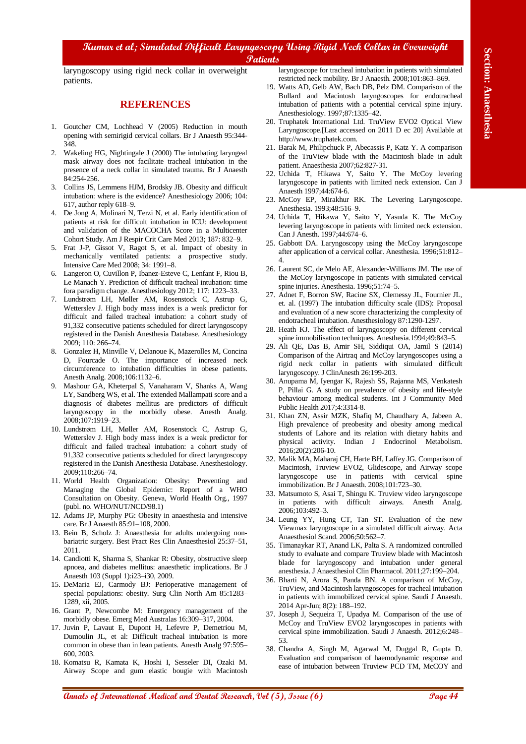laryngoscopy using rigid neck collar in overweight patients.

#### **REFERENCES**

- 1. Goutcher CM, Lochhead V (2005) Reduction in mouth opening with semirigid cervical collars. Br J Anaesth 95:344- 348.
- 2. Wakeling HG, Nightingale J (2000) The intubating laryngeal mask airway does not facilitate tracheal intubation in the presence of a neck collar in simulated trauma. Br J Anaesth 84:254-256.
- 3. Collins JS, Lemmens HJM, Brodsky JB. Obesity and difficult intubation: where is the evidence? Anesthesiology 2006; 104: 617, author reply 618–9.
- 4. De Jong A, Molinari N, Terzi N, et al. Early identification of patients at risk for difficult intubation in ICU: development and validation of the MACOCHA Score in a Multicenter Cohort Study. Am J Respir Crit Care Med 2013; 187: 832–9.
- 5. Frat J-P, Gissot V, Ragot S, et al. Impact of obesity in mechanically ventilated patients: a prospective study. Intensive Care Med 2008; 34: 1991–8.
- 6. Langeron O, Cuvillon P, Ibanez-Esteve C, Lenfant F, Riou B, Le Manach Y. Prediction of difficult tracheal intubation: time fora paradigm change. Anesthesiology 2012; 117: 1223–33.
- **Annals of International Medical and Conserver Conserver Conserver Conserver Conserver Conserver Conserver Conserver Conserver Conserver Conserver Conserver Conserver Conserver Conserver Conserver Conserver Conserver Cons** 7. Lundstrøm LH, Møller AM, Rosenstock C, Astrup G, Wetterslev J. High body mass index is a weak predictor for difficult and failed tracheal intubation: a cohort study of 91,332 consecutive patients scheduled for direct laryngoscopy registered in the Danish Anesthesia Database. Anesthesiology 2009; 110: 266–74.
- 8. Gonzalez H, Minville V, Delanoue K, Mazerolles M, Concina D, Fourcade O. The importance of increased neck circumference to intubation difficulties in obese patients. Anesth Analg. 2008;106:1132–6.
- 9. Mashour GA, Kheterpal S, Vanaharam V, Shanks A, Wang LY, Sandberg WS, et al. The extended Mallampati score and a diagnosis of diabetes mellitus are predictors of difficult laryngoscopy in the morbidly obese. Anesth Analg. 2008;107:1919–23.
- 10. Lundstrøm LH, Møller AM, Rosenstock C, Astrup G, Wetterslev J. High body mass index is a weak predictor for difficult and failed tracheal intubation: a cohort study of 91,332 consecutive patients scheduled for direct laryngoscopy registered in the Danish Anesthesia Database. Anesthesiology. 2009;110:266–74.
- 11. World Health Organization: Obesity: Preventing and Managing the Global Epidemic: Report of a WHO Consultation on Obesity. Geneva, World Health Org., 1997 (publ. no. WHO/NUT/NCD/98.1)
- 12. Adams JP, Murphy PG: Obesity in anaesthesia and intensive care. Br J Anaesth 85:91–108, 2000.
- 13. Bein B, Scholz J: Anaesthesia for adults undergoing nonbariatric surgery. Best Pract Res Clin Anaesthesiol 25:37–51, 2011.
- 14. Candiotti K, Sharma S, Shankar R: Obesity, obstructive sleep apnoea, and diabetes mellitus: anaesthetic implications. Br J Anaesth 103 (Suppl 1):i23–i30, 2009.
- 15. DeMaria EJ, Carmody BJ: Perioperative management of special populations: obesity. Surg Clin North Am 85:1283– 1289, xii, 2005.
- 16. Grant P, Newcombe M: Emergency management of the morbidly obese. Emerg Med Australas 16:309–317, 2004.
- 17. Juvin P, Lavaut E, Dupont H, Lefevre P, Demetriou M, Dumoulin JL, et al: Difficult tracheal intubation is more common in obese than in lean patients. Anesth Analg 97:595– 600, 2003.
- 18. Komatsu R, Kamata K, Hoshi I, Sesseler DI, Ozaki M. Airway Scope and gum elastic bougie with Macintosh

laryngoscope for tracheal intubation in patients with simulated restricted neck mobility. Br J Anaesth. 2008;101:863–869.

- 19. Watts AD, Gelb AW, Bach DB, Pelz DM. Comparison of the Bullard and Macintosh laryngoscopes for endotracheal intubation of patients with a potential cervical spine injury. Anesthesiology. 1997;87:1335–42.
- 20. Truphatek International Ltd. TruView EVO2 Optical View Laryngoscope.[Last accessed on 2011 D ec 20] Available at http://www.truphatek.com.
- 21. Barak M, Philipchuck P, Abecassis P, Katz Y. A comparison of the TruView blade with the Macintosh blade in adult patient. Anaesthesia 2007;62:827‑31.
- 22. Uchida T, Hikawa Y, Saito Y. The McCoy levering laryngoscope in patients with limited neck extension. Can J Anaesth 1997;44:674‑6.
- 23. McCoy EP, Mirakhur RK. The Levering Laryngoscope. Anesthesia. 1993;48:516–9.
- 24. Uchida T, Hikawa Y, Saito Y, Yasuda K. The McCoy levering laryngoscope in patients with limited neck extension. Can J Anesth. 1997;44:674–6.
- 25. Gabbott DA. Laryngoscopy using the McCoy laryngoscope after application of a cervical collar. Anesthesia. 1996;51:812– 4.
- 26. Laurent SC, de Melo AE, Alexander-Williams JM. The use of the McCoy laryngoscope in patients with simulated cervical spine injuries. Anesthesia. 1996;51:74–5.
- 27. Adnet F, Borron SW, Racine SX, Clemessy JL, Fournier JL, et. al. (1997) The intubation difficulty scale (IDS): Proposal and evaluation of a new score characterizing the complexity of endotracheal intubation. Anesthesiology 87:1290-1297.
- 28. Heath KJ. The effect of laryngoscopy on different cervical spine immobilisation techniques. Anesthesia.1994;49:843–5.
- 29. Ali QE, Das B, Amir SH, Siddiqui OA, Jamil S (2014) Comparison of the Airtraq and McCoy laryngoscopes using a rigid neck collar in patients with simulated difficult laryngoscopy. J ClinAnesth 26:199-203.
- 30. Anupama M, Iyengar K, Rajesh SS, Rajanna MS, Venkatesh P, Pillai G. A study on prevalence of obesity and life-style behaviour among medical students. Int J Community Med Public Health 2017;4:3314-8.
- 31. Khan ZN, Assir MZK, Shafiq M, Chaudhary A, Jabeen A. High prevalence of preobesity and obesity among medical students of Lahore and its relation with dietary habits and physical activity. Indian J Endocrinol Metabolism. 2016;20(2):206-10.
- 32. Malik MA, Maharaj CH, Harte BH, Laffey JG. Comparison of Macintosh, Truview EVO2, Glidescope, and Airway scope laryngoscope use in patients with cervical spine immobilization. Br J Anaesth. 2008;101:723–30.
- 33. Matsumoto S, Asai T, Shingu K. Truview video laryngoscope in patients with difficult airways. Anesth Analg. 2006;103:492–3.
- 34. Leung YY, Hung CT, Tan ST. Evaluation of the new Viewmax laryngoscope in a simulated difficult airway. Acta Anaesthesiol Scand. 2006;50:562–7.
- 35. Timanaykar RT, Anand LK, Palta S. A randomized controlled study to evaluate and compare Truview blade with Macintosh blade for laryngoscopy and intubation under general anesthesia. J Anaesthesiol Clin Pharmacol. 2011;27:199–204.
- 36. Bharti N, Arora S, Panda BN. A comparison of McCoy, TruView, and Macintosh laryngoscopes for tracheal intubation in patients with immobilized cervical spine. Saudi J Anaesth. 2014 Apr-Jun; 8(2): 188–192.
- 37. Joseph J, Sequeira T, Upadya M. Comparison of the use of McCoy and TruView EVO2 laryngoscopes in patients with cervical spine immobilization. Saudi J Anaesth. 2012;6:248– 53.
- 38. Chandra A, Singh M, Agarwal M, Duggal R, Gupta D. Evaluation and comparison of haemodynamic response and ease of intubation between Truview PCD TM, McCOY and